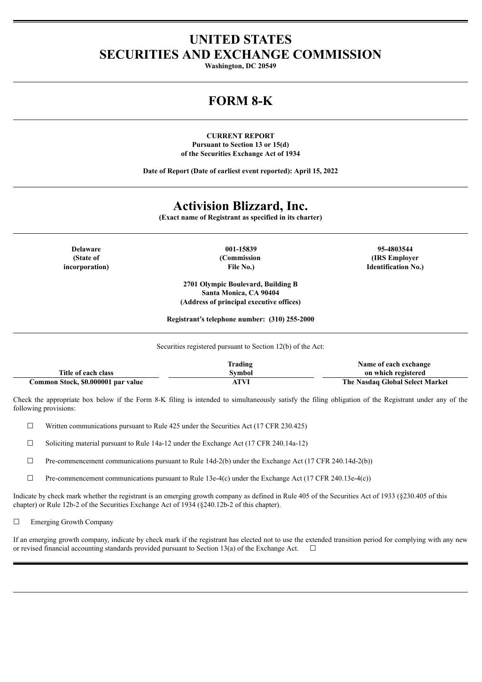# **UNITED STATES SECURITIES AND EXCHANGE COMMISSION**

**Washington, DC 20549**

# **FORM 8-K**

**CURRENT REPORT Pursuant to Section 13 or 15(d) of the Securities Exchange Act of 1934**

**Date of Report (Date of earliest event reported): April 15, 2022**

## **Activision Blizzard, Inc.**

**(Exact name of Registrant as specified in its charter)**

**(State of incorporation)**

**Delaware 001-15839 95-4803544 (Commission File No.)**

**(IRS Employer Identification No.)**

**2701 Olympic Boulevard, Building B Santa Monica, CA 90404 (Address of principal executive offices)**

**Registrant's telephone number: (310) 255-2000**

Securities registered pursuant to Section 12(b) of the Act:

|                                    | Trading | Name of each exchange           |
|------------------------------------|---------|---------------------------------|
| Title of each class                | Svmbol  | on which registered             |
| Common Stock, \$0.000001 par value | ATVI    | The Nasdag Global Select Market |

Check the appropriate box below if the Form 8-K filing is intended to simultaneously satisfy the filing obligation of the Registrant under any of the following provisions:

 $\Box$  Written communications pursuant to Rule 425 under the Securities Act (17 CFR 230.425)

☐ Soliciting material pursuant to Rule 14a-12 under the Exchange Act (17 CFR 240.14a-12)

 $\Box$  Pre-commencement communications pursuant to Rule 14d-2(b) under the Exchange Act (17 CFR 240.14d-2(b))

 $\Box$  Pre-commencement communications pursuant to Rule 13e-4(c) under the Exchange Act (17 CFR 240.13e-4(c))

Indicate by check mark whether the registrant is an emerging growth company as defined in Rule 405 of the Securities Act of 1933 (§230.405 of this chapter) or Rule 12b-2 of the Securities Exchange Act of 1934 (§240.12b-2 of this chapter).

□ Emerging Growth Company

If an emerging growth company, indicate by check mark if the registrant has elected not to use the extended transition period for complying with any new or revised financial accounting standards provided pursuant to Section 13(a) of the Exchange Act.  $\Box$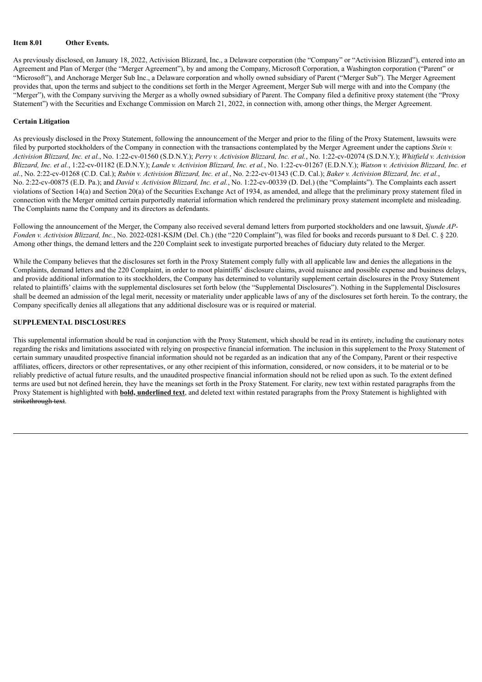### **Item 8.01 Other Events.**

As previously disclosed, on January 18, 2022, Activision Blizzard, Inc., a Delaware corporation (the "Company" or "Activision Blizzard"), entered into an Agreement and Plan of Merger (the "Merger Agreement"), by and among the Company, Microsoft Corporation, a Washington corporation ("Parent" or "Microsoft"), and Anchorage Merger Sub Inc., a Delaware corporation and wholly owned subsidiary of Parent ("Merger Sub"). The Merger Agreement provides that, upon the terms and subject to the conditions set forth in the Merger Agreement, Merger Sub will merge with and into the Company (the "Merger"), with the Company surviving the Merger as a wholly owned subsidiary of Parent. The Company filed a definitive proxy statement (the "Proxy Statement") with the Securities and Exchange Commission on March 21, 2022, in connection with, among other things, the Merger Agreement.

### **Certain Litigation**

As previously disclosed in the Proxy Statement, following the announcement of the Merger and prior to the filing of the Proxy Statement, lawsuits were filed by purported stockholders of the Company in connection with the transactions contemplated by the Merger Agreement under the captions *Stein v.* Activision Blizzard, Inc. et al., No. 1:22-cv-01560 (S.D.N.Y.); Perry v. Activision Blizzard, Inc. et al., No. 1:22-cv-02074 (S.D.N.Y.); Whitfield v. Activision Blizzard, Inc. et al., 1:22-cv-01182 (E.D.N.Y.); Lande v. Activision Blizzard, Inc. et al., No. 1:22-cv-01267 (E.D.N.Y.); Watson v. Activision Blizzard, Inc. et al., No. 2:22-cv-01268 (C.D. Cal.); Rubin v. Activision Blizzard, Inc. et al., No. 2:22-cv-01343 (C.D. Cal.); Baker v. Activision Blizzard, Inc. et al., No. 2:22-cv-00875 (E.D. Pa.); and *David v. Activision Blizzard, Inc. et al.*, No. 1:22-cv-00339 (D. Del.) (the "Complaints"). The Complaints each assert violations of Section 14(a) and Section 20(a) of the Securities Exchange Act of 1934, as amended, and allege that the preliminary proxy statement filed in connection with the Merger omitted certain purportedly material information which rendered the preliminary proxy statement incomplete and misleading. The Complaints name the Company and its directors as defendants.

Following the announcement of the Merger, the Company also received several demand letters from purported stockholders and one lawsuit, *Sjunde AP-Fonden v. Activision Blizzard, Inc.*, No. 2022-0281-KSJM (Del. Ch.) (the "220 Complaint"), was filed for books and records pursuant to 8 Del. C. § 220. Among other things, the demand letters and the 220 Complaint seek to investigate purported breaches of fiduciary duty related to the Merger.

While the Company believes that the disclosures set forth in the Proxy Statement comply fully with all applicable law and denies the allegations in the Complaints, demand letters and the 220 Complaint, in order to moot plaintiffs' disclosure claims, avoid nuisance and possible expense and business delays, and provide additional information to its stockholders, the Company has determined to voluntarily supplement certain disclosures in the Proxy Statement related to plaintiffs' claims with the supplemental disclosures set forth below (the "Supplemental Disclosures"). Nothing in the Supplemental Disclosures shall be deemed an admission of the legal merit, necessity or materiality under applicable laws of any of the disclosures set forth herein. To the contrary, the Company specifically denies all allegations that any additional disclosure was or is required or material.

### **SUPPLEMENTAL DISCLOSURES**

This supplemental information should be read in conjunction with the Proxy Statement, which should be read in its entirety, including the cautionary notes regarding the risks and limitations associated with relying on prospective financial information. The inclusion in this supplement to the Proxy Statement of certain summary unaudited prospective financial information should not be regarded as an indication that any of the Company, Parent or their respective affiliates, officers, directors or other representatives, or any other recipient of this information, considered, or now considers, it to be material or to be reliably predictive of actual future results, and the unaudited prospective financial information should not be relied upon as such. To the extent defined terms are used but not defined herein, they have the meanings set forth in the Proxy Statement. For clarity, new text within restated paragraphs from the Proxy Statement is highlighted with **bold, underlined text**, and deleted text within restated paragraphs from the Proxy Statement is highlighted with strikethrough text.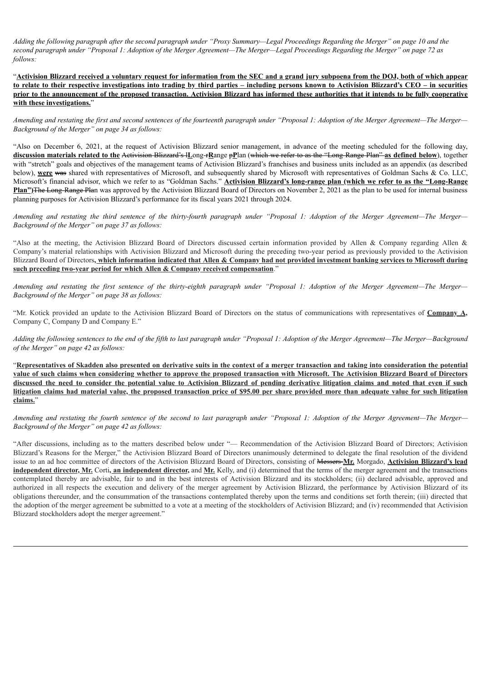Adding the following paragraph after the second paragraph under "Proxy Summary—Legal Proceedings Regarding the Merger" on page 10 and the second paragraph under "Proposal 1: Adoption of the Merger Agreement—The Merger—Legal Proceedings Regarding the Merger" on page 72 as *follows:*

"Activision Blizzard received a voluntary request for information from the SEC and a grand jury subpoena from the DOJ, both of which appear to relate to their respective investigations into trading by third parties – including persons known to Activision Blizzard's CEO – in securities prior to the announcement of the proposed transaction. Activision Blizzard has informed these authorities that it intends to be fully cooperative **with these investigations.**"

Amending and restating the first and second sentences of the fourteenth paragraph under "Proposal 1: Adoption of the Merger Agreement-The Merger-*Background of the Merger" on page 34 as follows:*

"Also on December 6, 2021, at the request of Activision Blizzard senior management, in advance of the meeting scheduled for the following day, discussion materials related to the Activision Blizzard's ILong-FRange pPlan (which we refer to as the "Long-Range Plan" as defined below), together with "stretch" goals and objectives of the management teams of Activision Blizzard's franchises and business units included as an appendix (as described below), **were** was shared with representatives of Microsoft, and subsequently shared by Microsoft with representatives of Goldman Sachs & Co. LLC, Microsoft's financial advisor, which we refer to as "Goldman Sachs." **Activision Blizzard's long-range plan (which we refer to as the "Long-Range Plan")**The Long-Range Plan was approved by the Activision Blizzard Board of Directors on November 2, 2021 as the plan to be used for internal business planning purposes for Activision Blizzard's performance for its fiscal years 2021 through 2024.

Amending and restating the third sentence of the thirty-fourth paragraph under "Proposal 1: Adoption of the Merger Agreement—The Merger— *Background of the Merger" on page 37 as follows:*

"Also at the meeting, the Activision Blizzard Board of Directors discussed certain information provided by Allen & Company regarding Allen & Company's material relationships with Activision Blizzard and Microsoft during the preceding two-year period as previously provided to the Activision Blizzard Board of Directors, which information indicated that Allen & Company had not provided investment banking services to Microsoft during **such preceding two-year period for which Allen & Company received compensation**."

Amending and restating the first sentence of the thirty-eighth paragraph under "Proposal 1: Adoption of the Merger Agreement—The Merger— *Background of the Merger" on page 38 as follows:*

"Mr. Kotick provided an update to the Activision Blizzard Board of Directors on the status of communications with representatives of **Company A,** Company C, Company D and Company E."

Adding the following sentences to the end of the fifth to last paragraph under "Proposal 1: Adoption of the Merger Agreement—The Merger—Background *of the Merger" on page 42 as follows:*

"Representatives of Skadden also presented on derivative suits in the context of a merger transaction and taking into consideration the potential value of such claims when considering whether to approve the proposed transaction with Microsoft. The Activision Blizzard Board of Directors discussed the need to consider the potential value to Activision Blizzard of pending derivative litigation claims and noted that even if such litigation claims had material value, the proposed transaction price of \$95.00 per share provided more than adequate value for such litigation **claims.**"

Amending and restating the fourth sentence of the second to last paragraph under "Proposal 1: Adoption of the Merger Agreement—The Merger— *Background of the Merger" on page 42 as follows:*

"After discussions, including as to the matters described below under "— Recommendation of the Activision Blizzard Board of Directors; Activision Blizzard's Reasons for the Merger," the Activision Blizzard Board of Directors unanimously determined to delegate the final resolution of the dividend issue to an ad hoc committee of directors of the Activision Blizzard Board of Directors, consisting of Messers **Mr.** Morgado, **Activision Blizzard's lead independent director, Mr.** Corti**, an independent director,** and **Mr.** Kelly, and (i) determined that the terms of the merger agreement and the transactions contemplated thereby are advisable, fair to and in the best interests of Activision Blizzard and its stockholders; (ii) declared advisable, approved and authorized in all respects the execution and delivery of the merger agreement by Activision Blizzard, the performance by Activision Blizzard of its obligations thereunder, and the consummation of the transactions contemplated thereby upon the terms and conditions set forth therein; (iii) directed that the adoption of the merger agreement be submitted to a vote at a meeting of the stockholders of Activision Blizzard; and (iv) recommended that Activision Blizzard stockholders adopt the merger agreement."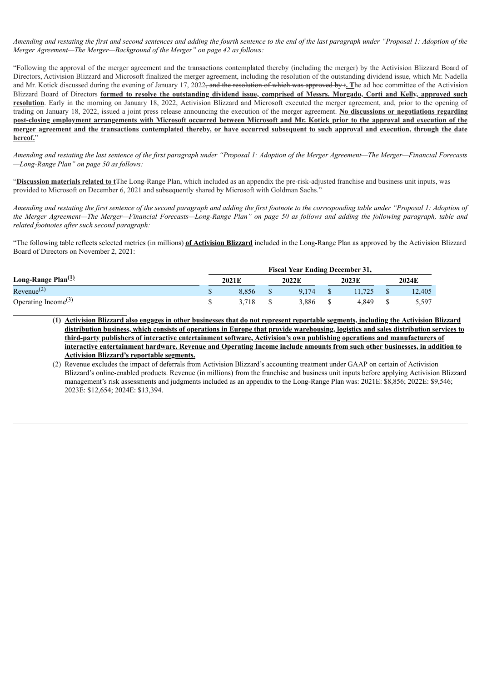Amending and restating the first and second sentences and adding the fourth sentence to the end of the last paragraph under "Proposal 1: Adoption of the *Merger Agreement—The Merger—Background of the Merger" on page 42 as follows:*

"Following the approval of the merger agreement and the transactions contemplated thereby (including the merger) by the Activision Blizzard Board of Directors, Activision Blizzard and Microsoft finalized the merger agreement, including the resolution of the outstanding dividend issue, which Mr. Nadella and Mr. Kotick discussed during the evening of January 17, 2022, and the resolution of which was approved by t**. T**he ad hoc committee of the Activision Blizzard Board of Directors formed to resolve the outstanding dividend issue, comprised of Messrs. Morgado, Corti and Kelly, approved such **resolution**. Early in the morning on January 18, 2022, Activision Blizzard and Microsoft executed the merger agreement, and, prior to the opening of trading on January 18, 2022, issued a joint press release announcing the execution of the merger agreement. **No discussions or negotiations regarding** post-closing employment arrangements with Microsoft occurred between Microsoft and Mr. Kotick prior to the approval and execution of the merger agreement and the transactions contemplated thereby, or have occurred subsequent to such approval and execution, through the date **hereof.**"

Amending and restating the last sentence of the first paragraph under "Proposal 1: Adoption of the Merger Agreement-The Merger-Financial Forecasts *—Long-Range Plan" on page 50 as follows:*

"**Discussion materials related to t**The Long-Range Plan, which included as an appendix the pre-risk-adjusted franchise and business unit inputs, was provided to Microsoft on December 6, 2021 and subsequently shared by Microsoft with Goldman Sachs."

Amending and restating the first sentence of the second paragraph and adding the first footnote to the corresponding table under "Proposal 1: Adoption of the Merger Agreement—The Merger—Financial Forecasts—Long-Range Plan" on page 50 as follows and adding the following paragraph, table and *related footnotes after such second paragraph:*

"The following table reflects selected metrics (in millions) **of Activision Blizzard** included in the Long-Range Plan as approved by the Activision Blizzard Board of Directors on November 2, 2021:

|                                 | <b>Fiscal Year Ending December 31,</b> |                |  |       |       |       |  |        |
|---------------------------------|----------------------------------------|----------------|--|-------|-------|-------|--|--------|
| Long-Range Plan $^{(1)}$        |                                        | 2022F<br>2021E |  |       | 2023E | 2024E |  |        |
| Revenue <sup>(2)</sup>          |                                        | 8.856          |  | 9.174 |       |       |  | 12.405 |
| Operating Income <sup>(3)</sup> |                                        | 3.718          |  | 3.886 |       | 4.849 |  | 5,597  |

(1) Activision Blizzard also engages in other businesses that do not represent reportable segments, including the Activision Blizzard distribution business, which consists of operations in Europe that provide warehousing, logistics and sales distribution services to **third-party publishers of interactive entertainment software, Activision's own publishing operations and manufacturers of** interactive entertainment hardware. Revenue and Operating Income include amounts from such other businesses, in addition to **Activision Blizzard's reportable segments.**

(2) Revenue excludes the impact of deferrals from Activision Blizzard's accounting treatment under GAAP on certain of Activision Blizzard's online-enabled products. Revenue (in millions) from the franchise and business unit inputs before applying Activision Blizzard management's risk assessments and judgments included as an appendix to the Long-Range Plan was: 2021E: \$8,856; 2022E: \$9,546; 2023E: \$12,654; 2024E: \$13,394.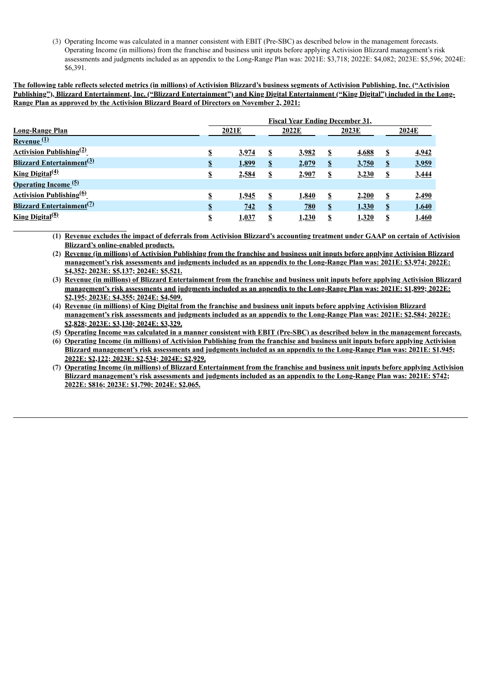(3) Operating Income was calculated in a manner consistent with EBIT (Pre-SBC) as described below in the management forecasts. Operating Income (in millions) from the franchise and business unit inputs before applying Activision Blizzard management's risk assessments and judgments included as an appendix to the Long-Range Plan was: 2021E: \$3,718; 2022E: \$4,082; 2023E: \$5,596; 2024E: \$6,391.

The following table reflects selected metrics (in millions) of Activision Blizzard's business segments of Activision Publishing, Inc. ("Activision Publishing"), Blizzard Entertainment, Inc. ("Blizzard Entertainment") and King Digital Entertainment ("King Digital") included in the Long-**Range Plan as approved by the Activision Blizzard Board of Directors on November 2, 2021:**

|                                              | <b>Fiscal Year Ending December 31,</b> |              |              |            |                                   |              |              |       |
|----------------------------------------------|----------------------------------------|--------------|--------------|------------|-----------------------------------|--------------|--------------|-------|
| <b>Long-Range Plan</b>                       |                                        | 2021E        |              | 2022E      |                                   | 2023E        |              | 2024E |
| Revenue (1)                                  |                                        |              |              |            |                                   |              |              |       |
| <b>Activision Publishing</b> <sup>(2)</sup>  | \$                                     | 3,974        | S            | 3,982      | $\mathbf{\mathbf{\underline{s}}}$ | 4,688        | \$           | 4,942 |
| <b>Blizzard Entertainment</b> <sup>(3)</sup> | \$                                     | 1,899        | $\mathbf{S}$ | 2,079      | $\mathbf{\Omega}$                 | <u>3,750</u> | $\mathbf{S}$ | 3,959 |
| <b>King Digital</b> <sup>(4)</sup>           | \$                                     | 2,584        | \$           | 2,907      | \$                                | 3,230        | \$           | 3,444 |
| <b>Operating Income</b> <sup>(5)</sup>       |                                        |              |              |            |                                   |              |              |       |
| <b>Activision Publishing<sup>(6)</sup></b>   | \$                                     | <u>1,945</u> | -S           | 1,840      | S                                 | 2,200        | $\mathbf{s}$ | 2,490 |
| <b>Blizzard Entertainment</b> <sup>(7)</sup> | \$                                     | 742          | $\mathbf{s}$ | <b>780</b> | $\boldsymbol{\mathsf{S}}$         | 1,330        | $\mathbf{s}$ | 1,640 |
| <b>King Digital</b> <sup>(8)</sup>           | \$                                     | 1,037        | S            | 1,230      | S                                 | 1,320        | \$           | 1,460 |

(1) Revenue excludes the impact of deferrals from Activision Blizzard's accounting treatment under GAAP on certain of Activision **Blizzard's online-enabled products.**

(2) Revenue (in millions) of Activision Publishing from the franchise and business unit inputs before applying Activision Blizzard management's risk assessments and judgments included as an appendix to the Long-Range Plan was: 2021E: \$3,974; 2022E: **\$4,352; 2023E: \$5,137; 2024E: \$5,521.**

(3) Revenue (in millions) of Blizzard Entertainment from the franchise and business unit inputs before applying Activision Blizzard management's risk assessments and judgments included as an appendix to the Long-Range Plan was: 2021E: \$1,899; 2022E: **\$2,195; 2023E: \$4,355; 2024E: \$4,509.**

(4) Revenue (in millions) of King Digital from the franchise and business unit inputs before applying Activision Blizzard management's risk assessments and judgments included as an appendix to the Long-Range Plan was: 2021E: \$2,584; 2022E: **\$2,828; 2023E: \$3,130; 2024E: \$3,329.**

(5) Operating Income was calculated in a manner consistent with EBIT (Pre-SBC) as described below in the management forecasts.

(6) Operating Income (in millions) of Activision Publishing from the franchise and business unit inputs before applying Activision Blizzard management's risk assessments and judgments included as an appendix to the Long-Range Plan was: 2021E: \$1,945; **2022E: \$2,122; 2023E: \$2,534; 2024E: \$2,929.**

(7) Operating Income (in millions) of Blizzard Entertainment from the franchise and business unit inputs before applying Activision Blizzard management's risk assessments and judgments included as an appendix to the Long-Range Plan was: 2021E: \$742; **2022E: \$816; 2023E: \$1,790; 2024E: \$2,065.**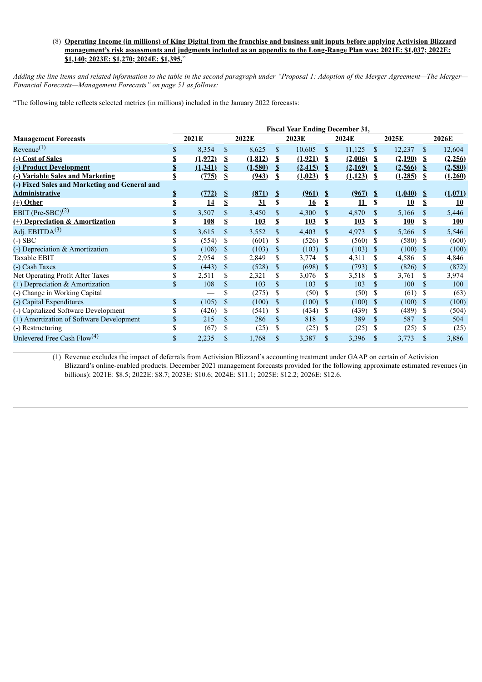## (8) Operating Income (in millions) of King Digital from the franchise and business unit inputs before applying Activision Blizzard management's risk assessments and judgments included as an appendix to the Long-Range Plan was: 2021E: \$1,037; 2022E: **\$1,140; 2023E: \$1,270; 2024E: \$1,395.**"

Adding the line items and related information to the table in the second paragraph under "Proposal 1: Adoption of the Merger Agreement-The Merger-*Financial Forecasts—Management Forecasts" on page 51 as follows:*

"The following table reflects selected metrics (in millions) included in the January 2022 forecasts:

|                                               | <b>Fiscal Year Ending December 31,</b> |            |                        |          |                |           |               |         |               |            |                    |         |
|-----------------------------------------------|----------------------------------------|------------|------------------------|----------|----------------|-----------|---------------|---------|---------------|------------|--------------------|---------|
| <b>Management Forecasts</b>                   |                                        | 2021E      |                        | 2022E    |                | 2023E     |               | 2024E   |               | 2025E      |                    | 2026E   |
| Revenue <sup>(1)</sup>                        | \$                                     | 8,354      | \$                     | 8,625    | \$             | 10,605    | \$            | 11,125  | <sup>\$</sup> | 12,237     | <sup>\$</sup>      | 12,604  |
| (-) Cost of Sales                             | \$                                     | (1,972)    | \$                     | (1, 812) | \$             | (1,921)   | S             | (2,006) | -S            | (2,190)    | - \$               | (2,256) |
| (-) Product Development                       | $\boldsymbol{\mathsf{S}}$              | (1,341)    | \$                     | (1,580)  | \$             | (2, 415)  | \$            | (2,169) | $\mathbf{s}$  | (2,566)    | $\mathbf{s}$       | (2,580) |
| (-) Variable Sales and Marketing              | \$                                     | (775)      | \$                     | (943)    | \$             | (1,023)   | S             | (1,123) | -S            | (1,285)    | - \$               | (1,260) |
| (-) Fixed Sales and Marketing and General and |                                        |            |                        |          |                |           |               |         |               |            |                    |         |
| <b>Administrative</b>                         | ${\pmb{\mathbb{S}}}$                   | (772)      | $\mathbf{\mathcal{S}}$ | (871)    | $\mathbf{\$\}$ | (961)     | $\frac{1}{2}$ | (967)   | $\mathbf{s}$  | (1,040)    | - \$               | (1,071) |
| $(t) Other$                                   | \$                                     | 14         | \$                     | 31       | \$             | <u>16</u> | \$            | 11      | S             | 10         | \$                 | 10      |
| EBIT (Pre-SBC) <sup>(2)</sup>                 | \$                                     | 3,507      | \$                     | 3,450    | \$             | 4,300     | \$            | 4,870   | \$.           | 5,166      | <sup>\$</sup>      | 5,446   |
| (+) Depreciation & Amortization               | \$                                     | <b>108</b> | \$                     | 103      | \$             | 103       | \$            | 103     | S             | <b>100</b> | \$                 | 100     |
| Adj. $EBITDA(3)$                              | \$                                     | 3,615      | \$                     | 3,552    | $\mathbb{S}$   | 4,403     | \$            | 4,973   | $\mathbf S$   | 5,266      | S                  | 5,546   |
| $(-)$ SBC                                     | \$                                     | (554)      | \$                     | (601)    | \$             | (526)     | S             | (560)   | -\$           | (580)      | - S                | (600)   |
| $\left( -\right)$ Depreciation & Amortization | \$                                     | (108)      | \$                     | (103)    | \$             | (103)     | <sup>\$</sup> | (103)   | <sup>\$</sup> | (100)      | - \$               | (100)   |
| Taxable EBIT                                  | \$                                     | 2,954      | \$                     | 2,849    | \$             | 3,774     | S             | 4,311   | \$            | 4,586      | \$.                | 4,846   |
| (-) Cash Taxes                                | \$                                     | (443)      | \$                     | (528)    | \$             | (698)     | <sup>\$</sup> | (793)   | <sup>\$</sup> | (826)      | -S                 | (872)   |
| Net Operating Profit After Taxes              | \$                                     | 2,511      | \$                     | 2,321    | \$             | 3,076     | S             | 3,518   | \$            | 3,761      | S                  | 3,974   |
| $(+)$ Depreciation & Amortization             | \$                                     | 108        | $\mathbf S$            | 103      | $\mathbf S$    | 103       | \$            | 103     | <sup>\$</sup> | 100        | <sup>\$</sup>      | 100     |
| (-) Change in Working Capital                 |                                        |            | \$                     | (275)    | \$             | (50)      | <sup>\$</sup> | (50)    | -S            | (61)       | -S                 | (63)    |
| (-) Capital Expenditures                      | \$                                     | (105)      | $\mathbf S$            | (100)    | \$             | (100)     | <sup>\$</sup> | (100)   | - \$          | (100)      | - \$               | (100)   |
| (-) Capitalized Software Development          | \$                                     | (426)      | \$                     | (541)    | \$             | (434)     | <sup>\$</sup> | (439)   | -S            | (489)      | -S                 | (504)   |
| (+) Amortization of Software Development      | \$                                     | 215        | \$                     | 286      | \$             | 818       | \$            | 389     | <sup>\$</sup> | 587        | $\mathbf S$        | 504     |
| (-) Restructuring                             | \$                                     | (67)       | \$                     | (25)     | \$             | (25)      | \$            | (25)    | S             | (25)       | <sup>\$</sup>      | (25)    |
| Unlevered Free Cash $Flow(4)$                 | \$                                     | 2,235      | \$                     | 1,768    | $\mathbb{S}$   | 3,387     | \$            | 3,396   | $\mathbf{\$}$ | 3,773      | $\mathbf{\hat{s}}$ | 3,886   |

(1) Revenue excludes the impact of deferrals from Activision Blizzard's accounting treatment under GAAP on certain of Activision Blizzard's online-enabled products. December 2021 management forecasts provided for the following approximate estimated revenues (in billions): 2021E: \$8.5; 2022E: \$8.7; 2023E: \$10.6; 2024E: \$11.1; 2025E: \$12.2; 2026E: \$12.6.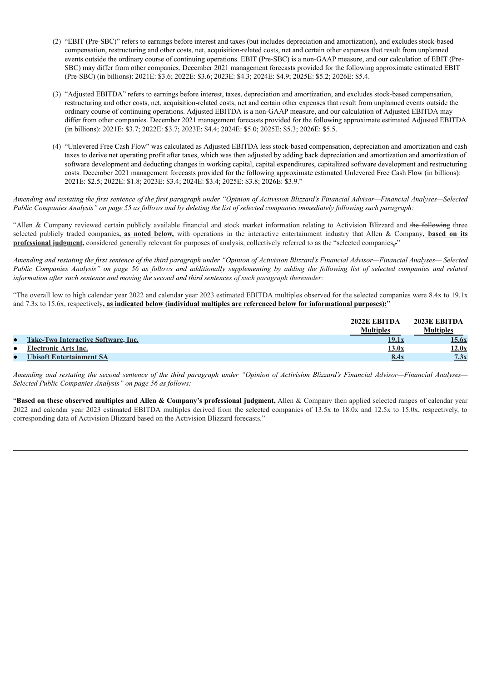- (2) "EBIT (Pre-SBC)" refers to earnings before interest and taxes (but includes depreciation and amortization), and excludes stock-based compensation, restructuring and other costs, net, acquisition-related costs, net and certain other expenses that result from unplanned events outside the ordinary course of continuing operations. EBIT (Pre-SBC) is a non-GAAP measure, and our calculation of EBIT (Pre-SBC) may differ from other companies. December 2021 management forecasts provided for the following approximate estimated EBIT (Pre-SBC) (in billions): 2021E: \$3.6; 2022E: \$3.6; 2023E: \$4.3; 2024E: \$4.9; 2025E: \$5.2; 2026E: \$5.4.
- (3) "Adjusted EBITDA" refers to earnings before interest, taxes, depreciation and amortization, and excludes stock-based compensation, restructuring and other costs, net, acquisition-related costs, net and certain other expenses that result from unplanned events outside the ordinary course of continuing operations. Adjusted EBITDA is a non-GAAP measure, and our calculation of Adjusted EBITDA may differ from other companies. December 2021 management forecasts provided for the following approximate estimated Adjusted EBITDA (in billions): 2021E: \$3.7; 2022E: \$3.7; 2023E: \$4.4; 2024E: \$5.0; 2025E: \$5.3; 2026E: \$5.5.
- (4) "Unlevered Free Cash Flow" was calculated as Adjusted EBITDA less stock-based compensation, depreciation and amortization and cash taxes to derive net operating profit after taxes, which was then adjusted by adding back depreciation and amortization and amortization of software development and deducting changes in working capital, capital expenditures, capitalized software development and restructuring costs. December 2021 management forecasts provided for the following approximate estimated Unlevered Free Cash Flow (in billions): 2021E: \$2.5; 2022E: \$1.8; 2023E: \$3.4; 2024E: \$3.4; 2025E: \$3.8; 2026E: \$3.9."

Amending and restating the first sentence of the first paragraph under "Opinion of Activision Blizzard's Financial Advisor-Financial Analyses-Selected Public Companies Analysis" on page 55 as follows and by deleting the list of selected companies immediately following such paragraph:

"Allen & Company reviewed certain publicly available financial and stock market information relating to Activision Blizzard and the following three selected publicly traded companies**, as noted below,** with operations in the interactive entertainment industry that Allen & Company**, based on its professional judgment,** considered generally relevant for purposes of analysis, collectively referred to as the "selected companies**.**:"

Amending and restating the first sentence of the third paragraph under "Opinion of Activision Blizzard's Financial Advisor-Financial Analyses-Selected Public Companies Analysis" on page 56 as follows and additionally supplementing by adding the following list of selected companies and related *information after such sentence and moving the second and third sentences of such paragraph thereunder:*

"The overall low to high calendar year 2022 and calendar year 2023 estimated EBITDA multiples observed for the selected companies were 8.4x to 19.1x and 7.3x to 15.6x, respectively**, as indicated below (individual multiples are referenced below for informational purposes):**"

|           |                                     | 2022E EBITDA<br>Multiples | 2023E EBITDA<br>Multiples |
|-----------|-------------------------------------|---------------------------|---------------------------|
| $\bullet$ | Take-Two Interactive Software, Inc. | 19.1x                     | <u>15.6x</u>              |
| $\bullet$ | Electronic Arts Inc.                | 13.0x                     | 12.0x                     |
| $\bullet$ | Ubisoft Entertainment SA            | 8.4x                      | 7.3x                      |

Amending and restating the second sentence of the third paragraph under "Opinion of Activision Blizzard's Financial Advisor-Financial Analyses-*Selected Public Companies Analysis" on page 56 as follows:*

"**Based on these observed multiples and Allen & Company's professional judgment,** Allen & Company then applied selected ranges of calendar year 2022 and calendar year 2023 estimated EBITDA multiples derived from the selected companies of 13.5x to 18.0x and 12.5x to 15.0x, respectively, to corresponding data of Activision Blizzard based on the Activision Blizzard forecasts."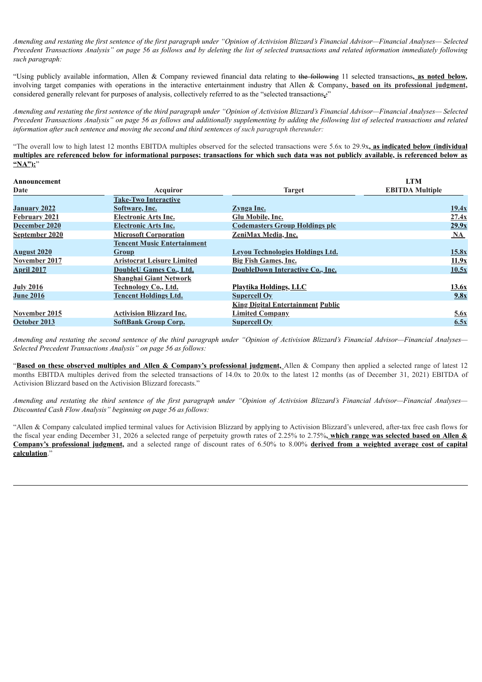Amending and restating the first sentence of the first paragraph under "Opinion of Activision Blizzard's Financial Advisor—Financial Analyses— Selected Precedent Transactions Analysis" on page 56 as follows and by deleting the list of selected transactions and related information immediately following *such paragraph:*

"Using publicly available information, Allen & Company reviewed financial data relating to the following 11 selected transactions**, as noted below,** involving target companies with operations in the interactive entertainment industry that Allen & Company**, based on its professional judgment,** considered generally relevant for purposes of analysis, collectively referred to as the "selected transactions**.**:"

Amending and restating the first sentence of the third paragraph under "Opinion of Activision Blizzard's Financial Advisor—Financial Analyses—Selected Precedent Transactions Analysis" on page 56 as follows and additionally supplementing by adding the following list of selected transactions and related *information after such sentence and moving the second and third sentences of such paragraph thereunder:*

"The overall low to high latest 12 months EBITDA multiples observed for the selected transactions were 5.6x to 29.9x**, as indicated below (individual** multiples are referenced below for informational purposes; transactions for which such data was not publicly available, is referenced below as **"NA"):**"

| Announcement         |                                    |                                          | <b>LTM</b>             |
|----------------------|------------------------------------|------------------------------------------|------------------------|
| Date                 | Acquiror                           | <b>Target</b>                            | <b>EBITDA Multiple</b> |
|                      | <b>Take-Two Interactive</b>        |                                          |                        |
| January 2022         | Software, Inc.                     | Zynga Inc.                               | 19.4x                  |
| <b>February 2021</b> | <b>Electronic Arts Inc.</b>        | <b>Glu Mobile, Inc.</b>                  | 27.4x                  |
| December 2020        | <b>Electronic Arts Inc.</b>        | <b>Codemasters Group Holdings plc</b>    | 29.9x                  |
| September 2020       | <b>Microsoft Corporation</b>       | ZeniMax Media, Inc.                      | $\mathbf{M}$           |
|                      | <b>Tencent Music Entertainment</b> |                                          |                        |
| <b>August 2020</b>   | <b>Group</b>                       | Leyou Technologies Holdings Ltd.         | 15.8x                  |
| November 2017        | <b>Aristocrat Leisure Limited</b>  | Big Fish Games, Inc.                     | 11.9x                  |
| <b>April 2017</b>    | DoubleU Games Co., Ltd.            | DoubleDown Interactive Co., Inc.         | 10.5x                  |
|                      | <b>Shanghai Giant Network</b>      |                                          |                        |
| <b>July 2016</b>     | Technology Co., Ltd.               | <b>Playtika Holdings, LLC</b>            | 13.6x                  |
| <b>June 2016</b>     | <b>Tencent Holdings Ltd.</b>       | <b>Supercell Oy</b>                      | 9.8x                   |
|                      |                                    | <b>King Digital Entertainment Public</b> |                        |
| November 2015        | <b>Activision Blizzard Inc.</b>    | <b>Limited Company</b>                   | 5.6x                   |
| October 2013         | <b>SoftBank Group Corp.</b>        | <b>Supercell Oy</b>                      | 6.5x                   |

Amending and restating the second sentence of the third paragraph under "Opinion of Activision Blizzard's Financial Advisor-Financial Analyses-*Selected Precedent Transactions Analysis" on page 56 as follows:*

"**Based on these observed multiples and Allen & Company's professional judgment,** Allen & Company then applied a selected range of latest 12 months EBITDA multiples derived from the selected transactions of 14.0x to 20.0x to the latest 12 months (as of December 31, 2021) EBITDA of Activision Blizzard based on the Activision Blizzard forecasts."

Amending and restating the third sentence of the first paragraph under "Opinion of Activision Blizzard's Financial Advisor—Financial Analyses— *Discounted Cash Flow Analysis" beginning on page 56 as follows:*

"Allen & Company calculated implied terminal values for Activision Blizzard by applying to Activision Blizzard's unlevered, after-tax free cash flows for the fiscal year ending December 31, 2026 a selected range of perpetuity growth rates of 2.25% to 2.75%**, which range was selected based on Allen & Company's professional judgment,** and a selected range of discount rates of 6.50% to 8.00% **derived from a weighted average cost of capital calculation**."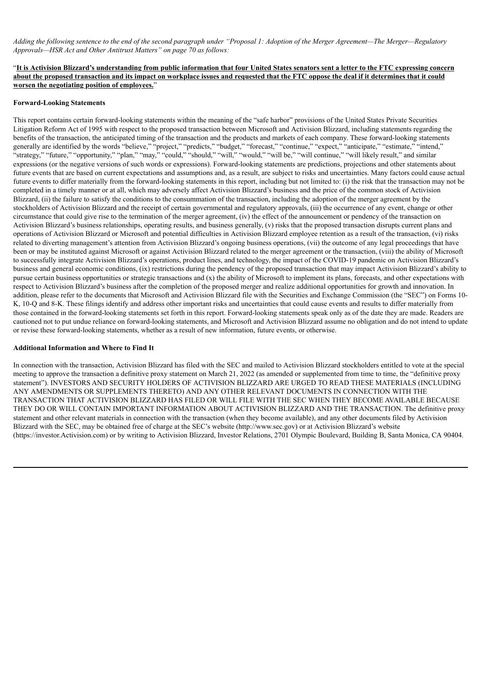Adding the following sentence to the end of the second paragraph under "Proposal 1: Adoption of the Merger Agreement—The Merger—Regulatory *Approvals—HSR Act and Other Antitrust Matters" on page 70 as follows:*

"It is Activision Blizzard's understanding from public information that four United States senators sent a letter to the FTC expressing concern about the proposed transaction and its impact on workplace issues and requested that the FTC oppose the deal if it determines that it could **worsen the negotiating position of employees.**"

### **Forward-Looking Statements**

This report contains certain forward-looking statements within the meaning of the "safe harbor" provisions of the United States Private Securities Litigation Reform Act of 1995 with respect to the proposed transaction between Microsoft and Activision Blizzard, including statements regarding the benefits of the transaction, the anticipated timing of the transaction and the products and markets of each company. These forward-looking statements generally are identified by the words "believe," "project," "predicts," "budget," "forecast," "continue," "expect," "anticipate," "estimate," "intend," "strategy," "future," "opportunity," "plan," "may," "could," "should," "will," "would," "will be," "will continue," "will likely result," and similar expressions (or the negative versions of such words or expressions). Forward-looking statements are predictions, projections and other statements about future events that are based on current expectations and assumptions and, as a result, are subject to risks and uncertainties. Many factors could cause actual future events to differ materially from the forward-looking statements in this report, including but not limited to: (i) the risk that the transaction may not be completed in a timely manner or at all, which may adversely affect Activision Blizzard's business and the price of the common stock of Activision Blizzard, (ii) the failure to satisfy the conditions to the consummation of the transaction, including the adoption of the merger agreement by the stockholders of Activision Blizzard and the receipt of certain governmental and regulatory approvals, (iii) the occurrence of any event, change or other circumstance that could give rise to the termination of the merger agreement, (iv) the effect of the announcement or pendency of the transaction on Activision Blizzard's business relationships, operating results, and business generally, (v) risks that the proposed transaction disrupts current plans and operations of Activision Blizzard or Microsoft and potential difficulties in Activision Blizzard employee retention as a result of the transaction, (vi) risks related to diverting management's attention from Activision Blizzard's ongoing business operations, (vii) the outcome of any legal proceedings that have been or may be instituted against Microsoft or against Activision Blizzard related to the merger agreement or the transaction, (viii) the ability of Microsoft to successfully integrate Activision Blizzard's operations, product lines, and technology, the impact of the COVID-19 pandemic on Activision Blizzard's business and general economic conditions, (ix) restrictions during the pendency of the proposed transaction that may impact Activision Blizzard's ability to pursue certain business opportunities or strategic transactions and (x) the ability of Microsoft to implement its plans, forecasts, and other expectations with respect to Activision Blizzard's business after the completion of the proposed merger and realize additional opportunities for growth and innovation. In addition, please refer to the documents that Microsoft and Activision Blizzard file with the Securities and Exchange Commission (the "SEC") on Forms 10- K, 10-Q and 8-K. These filings identify and address other important risks and uncertainties that could cause events and results to differ materially from those contained in the forward-looking statements set forth in this report. Forward-looking statements speak only as of the date they are made. Readers are cautioned not to put undue reliance on forward-looking statements, and Microsoft and Activision Blizzard assume no obligation and do not intend to update or revise these forward-looking statements, whether as a result of new information, future events, or otherwise.

### **Additional Information and Where to Find It**

In connection with the transaction, Activision Blizzard has filed with the SEC and mailed to Activision Blizzard stockholders entitled to vote at the special meeting to approve the transaction a definitive proxy statement on March 21, 2022 (as amended or supplemented from time to time, the "definitive proxy statement"). INVESTORS AND SECURITY HOLDERS OF ACTIVISION BLIZZARD ARE URGED TO READ THESE MATERIALS (INCLUDING ANY AMENDMENTS OR SUPPLEMENTS THERETO) AND ANY OTHER RELEVANT DOCUMENTS IN CONNECTION WITH THE TRANSACTION THAT ACTIVISION BLIZZARD HAS FILED OR WILL FILE WITH THE SEC WHEN THEY BECOME AVAILABLE BECAUSE THEY DO OR WILL CONTAIN IMPORTANT INFORMATION ABOUT ACTIVISION BLIZZARD AND THE TRANSACTION. The definitive proxy statement and other relevant materials in connection with the transaction (when they become available), and any other documents filed by Activision Blizzard with the SEC, may be obtained free of charge at the SEC's website (http://www.sec.gov) or at Activision Blizzard's website (https://investor.Activision.com) or by writing to Activision Blizzard, Investor Relations, 2701 Olympic Boulevard, Building B, Santa Monica, CA 90404.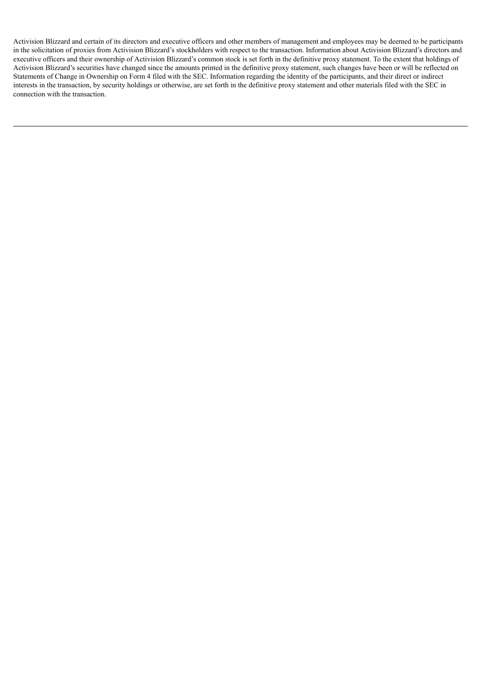Activision Blizzard and certain of its directors and executive officers and other members of management and employees may be deemed to be participants in the solicitation of proxies from Activision Blizzard's stockholders with respect to the transaction. Information about Activision Blizzard's directors and executive officers and their ownership of Activision Blizzard's common stock is set forth in the definitive proxy statement. To the extent that holdings of Activision Blizzard's securities have changed since the amounts printed in the definitive proxy statement, such changes have been or will be reflected on Statements of Change in Ownership on Form 4 filed with the SEC. Information regarding the identity of the participants, and their direct or indirect interests in the transaction, by security holdings or otherwise, are set forth in the definitive proxy statement and other materials filed with the SEC in connection with the transaction.